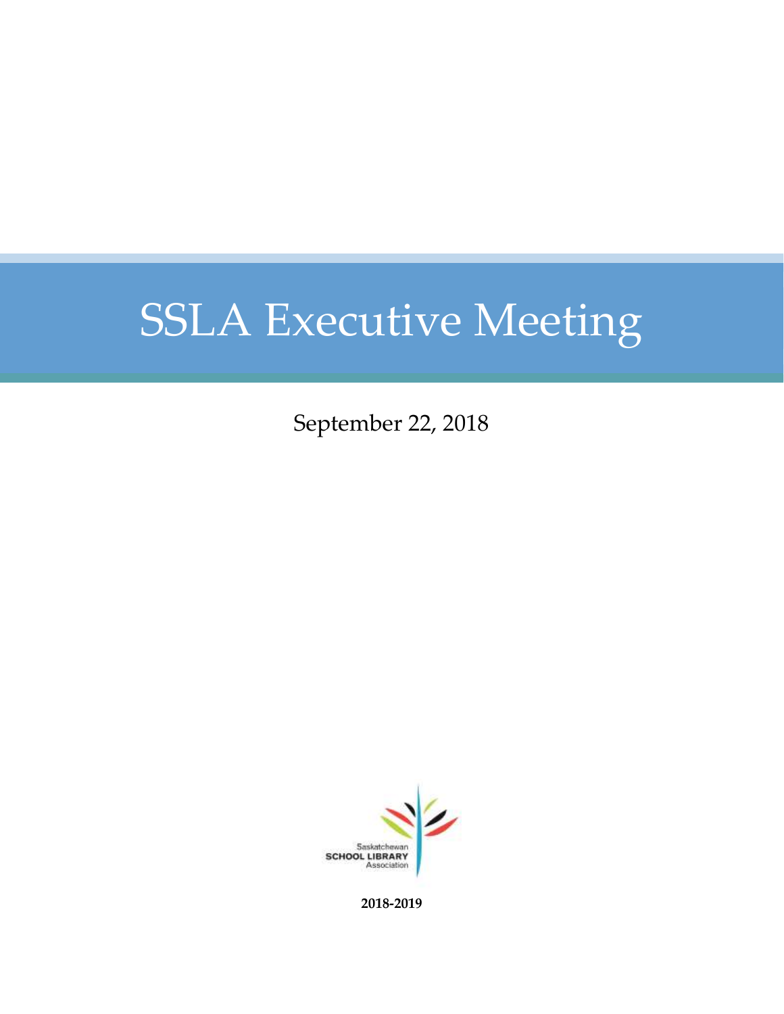September 22, 2018



**2018-2019**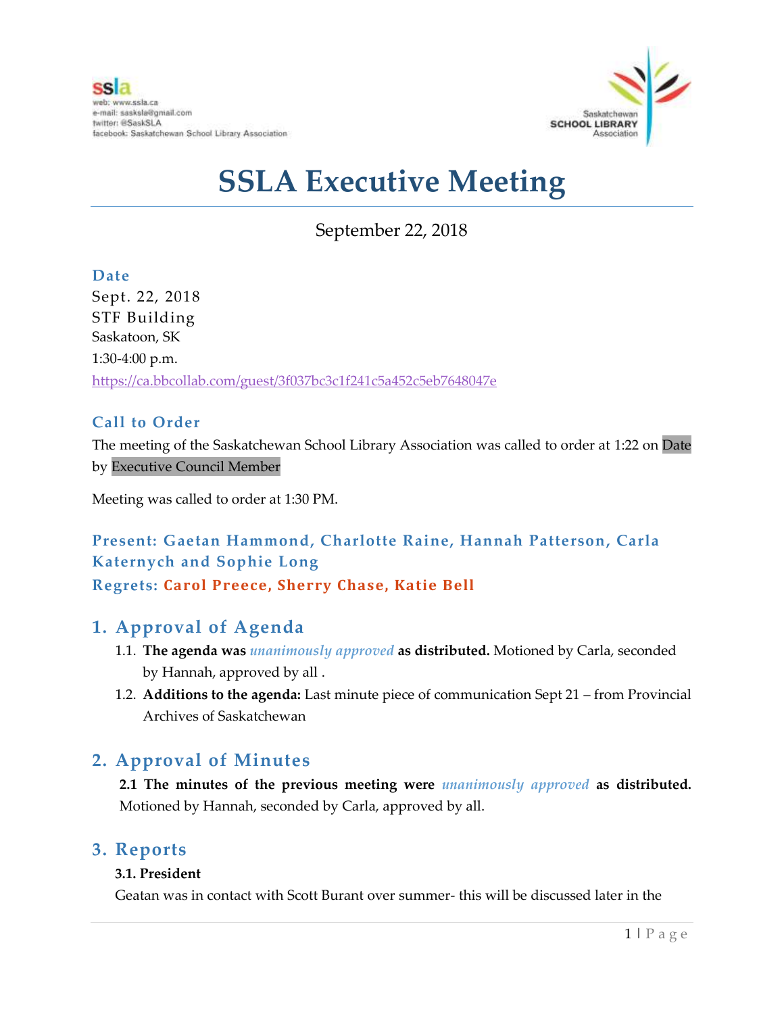

September 22, 2018

**Date** Sept. 22, 2018 STF Building Saskatoon, SK 1:30-4:00 p.m. <https://ca.bbcollab.com/guest/3f037bc3c1f241c5a452c5eb7648047e>

### **Call to Order**

The meeting of the Saskatchewan School Library Association was called to order at 1:22 on Date by Executive Council Member

Meeting was called to order at 1:30 PM.

## **Present: Gaetan Hammond, Charlotte Raine, Hannah Patterson, Carla Katernych and Sophie Long Regrets: Carol Preece, Sherry Chase, Katie Bell**

## **1. Approval of Agenda**

- 1.1. **The agenda was** *unanimously approved* **as distributed.** Motioned by Carla, seconded by Hannah, approved by all .
- 1.2. **Additions to the agenda:** Last minute piece of communication Sept 21 from Provincial Archives of Saskatchewan

## **2. Approval of Minutes**

**2.1 The minutes of the previous meeting were** *unanimously approved* **as distributed.** Motioned by Hannah, seconded by Carla, approved by all.

### **3. Reports**

#### **3.1. President**

Geatan was in contact with Scott Burant over summer- this will be discussed later in the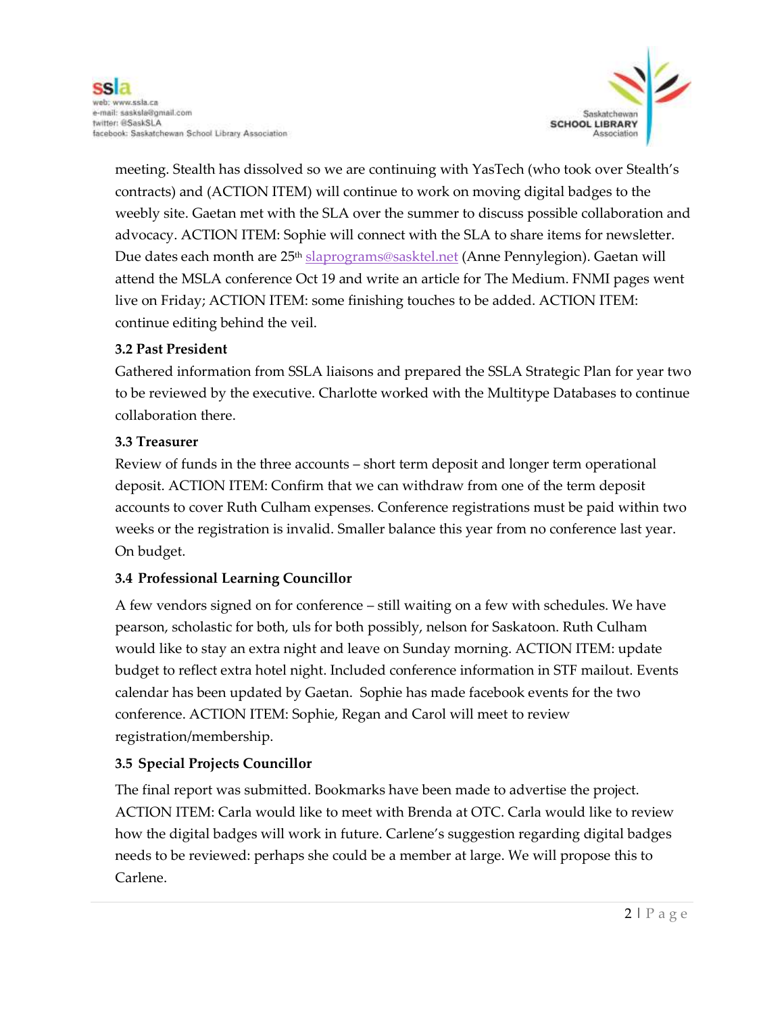

meeting. Stealth has dissolved so we are continuing with YasTech (who took over Stealth's contracts) and (ACTION ITEM) will continue to work on moving digital badges to the weebly site. Gaetan met with the SLA over the summer to discuss possible collaboration and advocacy. ACTION ITEM: Sophie will connect with the SLA to share items for newsletter. Due dates each month are 25<sup>th</sup> [slaprograms@sasktel.net](mailto:slaprograms@sasktel.net) (Anne Pennylegion). Gaetan will attend the MSLA conference Oct 19 and write an article for The Medium. FNMI pages went live on Friday; ACTION ITEM: some finishing touches to be added. ACTION ITEM: continue editing behind the veil.

#### **3.2 Past President**

Gathered information from SSLA liaisons and prepared the SSLA Strategic Plan for year two to be reviewed by the executive. Charlotte worked with the Multitype Databases to continue collaboration there.

#### **3.3 Treasurer**

Review of funds in the three accounts – short term deposit and longer term operational deposit. ACTION ITEM: Confirm that we can withdraw from one of the term deposit accounts to cover Ruth Culham expenses. Conference registrations must be paid within two weeks or the registration is invalid. Smaller balance this year from no conference last year. On budget.

#### **3.4 Professional Learning Councillor**

A few vendors signed on for conference – still waiting on a few with schedules. We have pearson, scholastic for both, uls for both possibly, nelson for Saskatoon. Ruth Culham would like to stay an extra night and leave on Sunday morning. ACTION ITEM: update budget to reflect extra hotel night. Included conference information in STF mailout. Events calendar has been updated by Gaetan. Sophie has made facebook events for the two conference. ACTION ITEM: Sophie, Regan and Carol will meet to review registration/membership.

#### **3.5 Special Projects Councillor**

The final report was submitted. Bookmarks have been made to advertise the project. ACTION ITEM: Carla would like to meet with Brenda at OTC. Carla would like to review how the digital badges will work in future. Carlene's suggestion regarding digital badges needs to be reviewed: perhaps she could be a member at large. We will propose this to Carlene.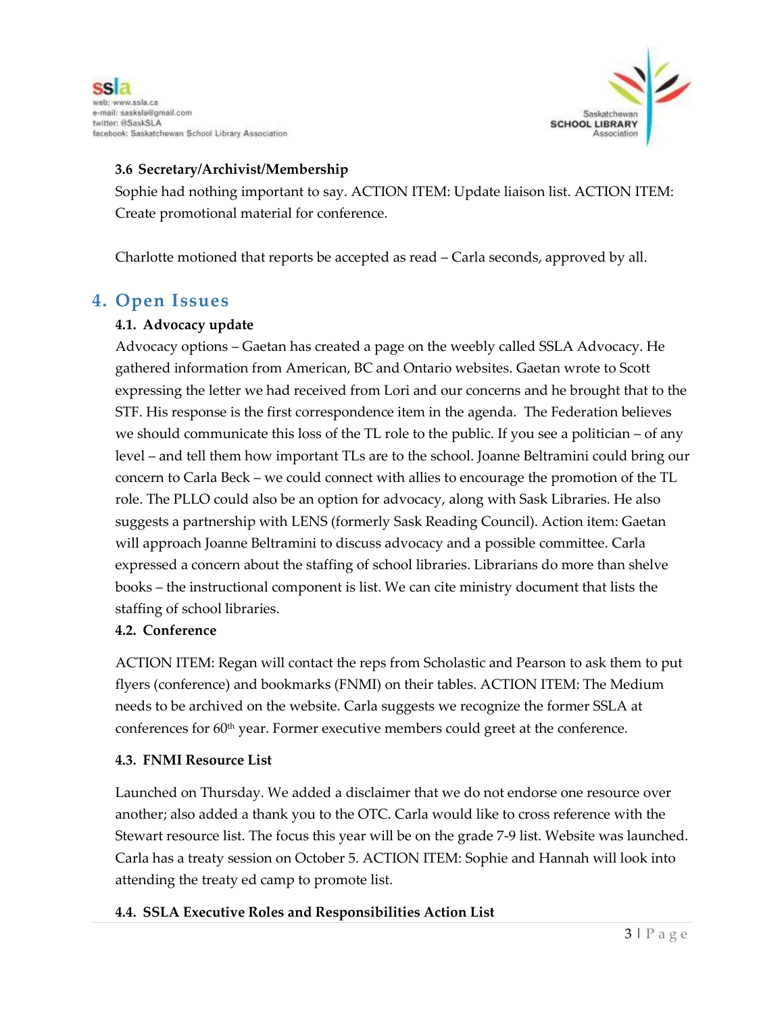



#### **3.6 Secretary/Archivist/Membership**

Sophie had nothing important to say. ACTION ITEM: Update liaison list. ACTION ITEM: Create promotional material for conference.

Charlotte motioned that reports be accepted as read – Carla seconds, approved by all.

### **4. Open Issues**

#### **4.1. Advocacy update**

Advocacy options – Gaetan has created a page on the weebly called SSLA Advocacy. He gathered information from American, BC and Ontario websites. Gaetan wrote to Scott expressing the letter we had received from Lori and our concerns and he brought that to the STF. His response is the first correspondence item in the agenda. The Federation believes we should communicate this loss of the TL role to the public. If you see a politician – of any level – and tell them how important TLs are to the school. Joanne Beltramini could bring our concern to Carla Beck – we could connect with allies to encourage the promotion of the TL role. The PLLO could also be an option for advocacy, along with Sask Libraries. He also suggests a partnership with LENS (formerly Sask Reading Council). Action item: Gaetan will approach Joanne Beltramini to discuss advocacy and a possible committee. Carla expressed a concern about the staffing of school libraries. Librarians do more than shelve books – the instructional component is list. We can cite ministry document that lists the staffing of school libraries.

#### **4.2. Conference**

ACTION ITEM: Regan will contact the reps from Scholastic and Pearson to ask them to put flyers (conference) and bookmarks (FNMI) on their tables. ACTION ITEM: The Medium needs to be archived on the website. Carla suggests we recognize the former SSLA at conferences for 60th year. Former executive members could greet at the conference.

#### **4.3. FNMI Resource List**

Launched on Thursday. We added a disclaimer that we do not endorse one resource over another; also added a thank you to the OTC. Carla would like to cross reference with the Stewart resource list. The focus this year will be on the grade 7-9 list. Website was launched. Carla has a treaty session on October 5. ACTION ITEM: Sophie and Hannah will look into attending the treaty ed camp to promote list.

#### **4.4. SSLA Executive Roles and Responsibilities Action List**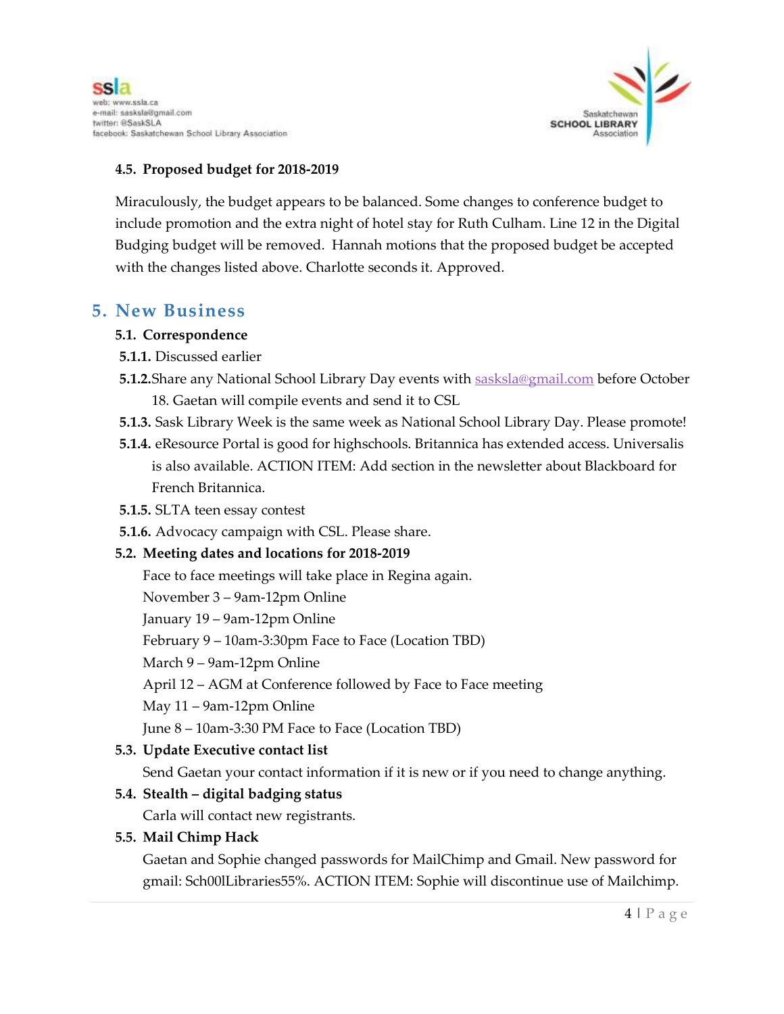

#### **4.5. Proposed budget for 2018-2019**

Miraculously, the budget appears to be balanced. Some changes to conference budget to include promotion and the extra night of hotel stay for Ruth Culham. Line 12 in the Digital Budging budget will be removed. Hannah motions that the proposed budget be accepted with the changes listed above. Charlotte seconds it. Approved.

### **5. New Business**

#### **5.1. Correspondence**

- **5.1.1.** Discussed earlier
- **5.1.2.**Share any National School Library Day events with [sasksla@gmail.com](mailto:sasksla@gmail.com) before October 18. Gaetan will compile events and send it to CSL
- **5.1.3.** Sask Library Week is the same week as National School Library Day. Please promote!
- **5.1.4.** eResource Portal is good for highschools. Britannica has extended access. Universalis is also available. ACTION ITEM: Add section in the newsletter about Blackboard for French Britannica.
- **5.1.5.** SLTA teen essay contest
- **5.1.6.** Advocacy campaign with CSL. Please share.

#### **5.2. Meeting dates and locations for 2018-2019**

Face to face meetings will take place in Regina again.

November 3 – 9am-12pm Online

January 19 – 9am-12pm Online

February 9 – 10am-3:30pm Face to Face (Location TBD)

March 9 – 9am-12pm Online

April 12 – AGM at Conference followed by Face to Face meeting

May 11 – 9am-12pm Online

June 8 – 10am-3:30 PM Face to Face (Location TBD)

#### **5.3. Update Executive contact list**

Send Gaetan your contact information if it is new or if you need to change anything.

#### **5.4. Stealth – digital badging status**

Carla will contact new registrants.

#### **5.5. Mail Chimp Hack**

Gaetan and Sophie changed passwords for MailChimp and Gmail. New password for gmail: Sch00lLibraries55%. ACTION ITEM: Sophie will discontinue use of Mailchimp.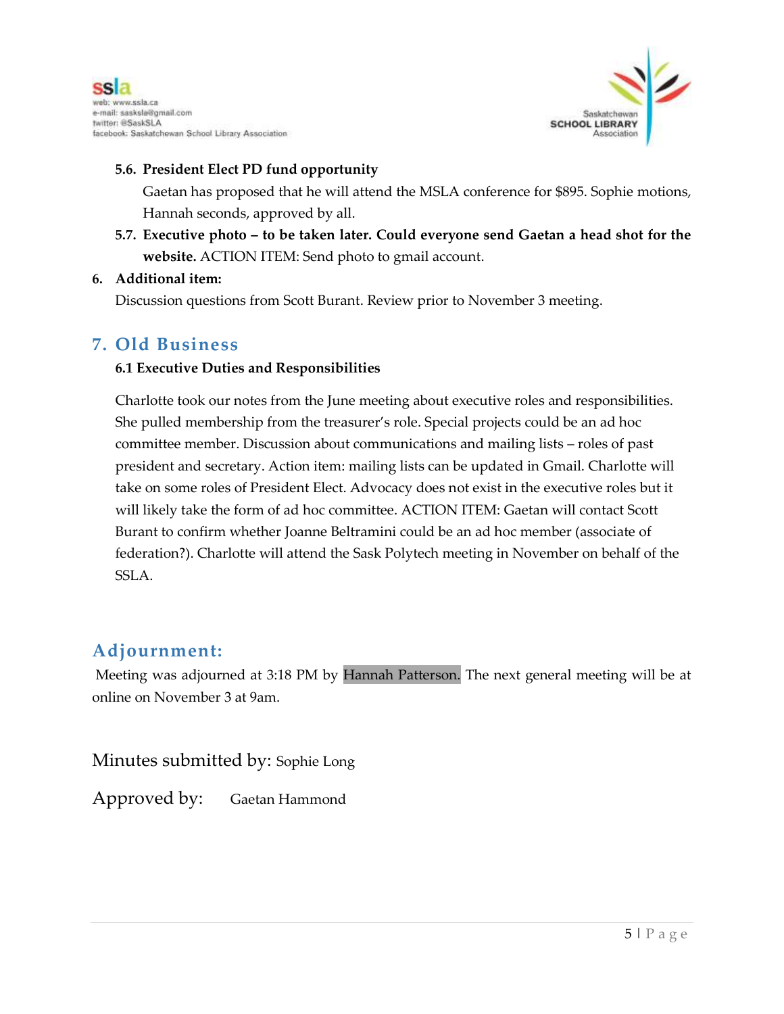



#### **5.6. President Elect PD fund opportunity**

Gaetan has proposed that he will attend the MSLA conference for \$895. Sophie motions, Hannah seconds, approved by all.

**5.7. Executive photo – to be taken later. Could everyone send Gaetan a head shot for the website.** ACTION ITEM: Send photo to gmail account.

#### **6. Additional item:**

Discussion questions from Scott Burant. Review prior to November 3 meeting.

### **7. Old Business**

#### **6.1 Executive Duties and Responsibilities**

Charlotte took our notes from the June meeting about executive roles and responsibilities. She pulled membership from the treasurer's role. Special projects could be an ad hoc committee member. Discussion about communications and mailing lists – roles of past president and secretary. Action item: mailing lists can be updated in Gmail. Charlotte will take on some roles of President Elect. Advocacy does not exist in the executive roles but it will likely take the form of ad hoc committee. ACTION ITEM: Gaetan will contact Scott Burant to confirm whether Joanne Beltramini could be an ad hoc member (associate of federation?). Charlotte will attend the Sask Polytech meeting in November on behalf of the SSLA.

### **Adjournment:**

Meeting was adjourned at 3:18 PM by Hannah Patterson. The next general meeting will be at online on November 3 at 9am.

Minutes submitted by: Sophie Long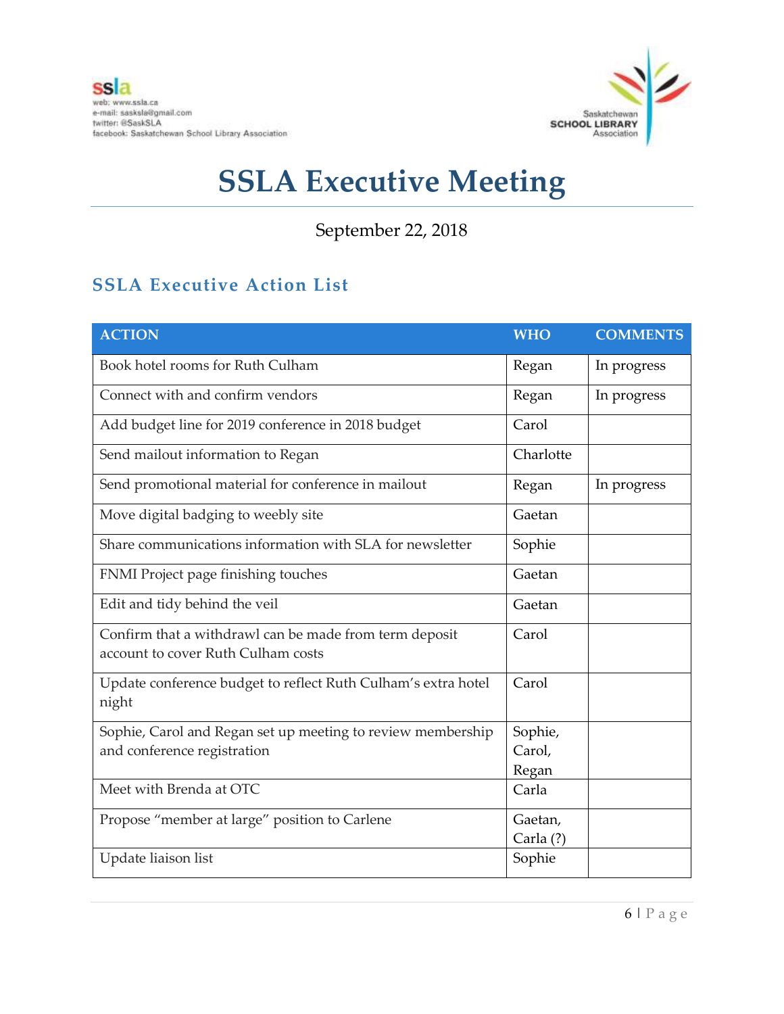

September 22, 2018

## **SSLA Executive Action List**

| <b>ACTION</b>                                                                                | <b>WHO</b>                 | <b>COMMENTS</b> |
|----------------------------------------------------------------------------------------------|----------------------------|-----------------|
| Book hotel rooms for Ruth Culham                                                             | Regan                      | In progress     |
| Connect with and confirm vendors                                                             | Regan                      | In progress     |
| Add budget line for 2019 conference in 2018 budget                                           | Carol                      |                 |
| Send mailout information to Regan                                                            | Charlotte                  |                 |
| Send promotional material for conference in mailout                                          | Regan                      | In progress     |
| Move digital badging to weebly site                                                          | Gaetan                     |                 |
| Share communications information with SLA for newsletter                                     | Sophie                     |                 |
| FNMI Project page finishing touches                                                          | Gaetan                     |                 |
| Edit and tidy behind the veil                                                                | Gaetan                     |                 |
| Confirm that a withdrawl can be made from term deposit<br>account to cover Ruth Culham costs | Carol                      |                 |
| Update conference budget to reflect Ruth Culham's extra hotel<br>night                       | Carol                      |                 |
| Sophie, Carol and Regan set up meeting to review membership<br>and conference registration   | Sophie,<br>Carol,<br>Regan |                 |
| Meet with Brenda at OTC                                                                      | Carla                      |                 |
| Propose "member at large" position to Carlene                                                | Gaetan,<br>Carla (?)       |                 |
| Update liaison list                                                                          | Sophie                     |                 |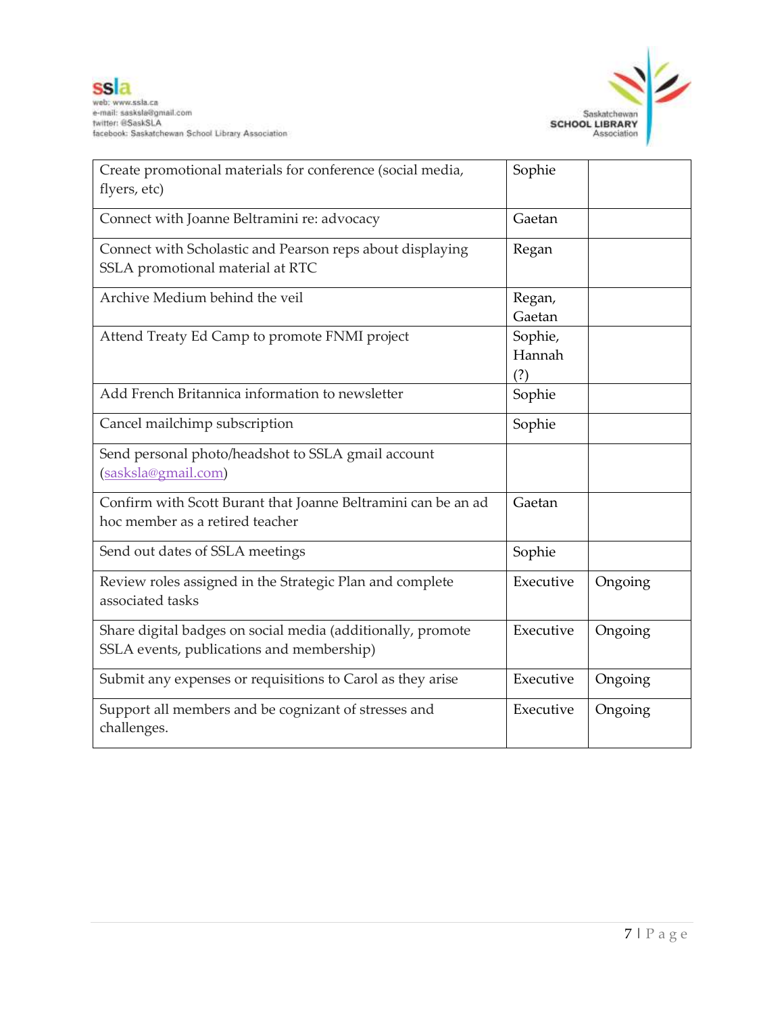

| Create promotional materials for conference (social media,<br>flyers, etc)                               | Sophie                   |         |
|----------------------------------------------------------------------------------------------------------|--------------------------|---------|
| Connect with Joanne Beltramini re: advocacy                                                              | Gaetan                   |         |
| Connect with Scholastic and Pearson reps about displaying<br>SSLA promotional material at RTC            | Regan                    |         |
| Archive Medium behind the veil                                                                           | Regan,<br>Gaetan         |         |
| Attend Treaty Ed Camp to promote FNMI project                                                            | Sophie,<br>Hannah<br>(?) |         |
| Add French Britannica information to newsletter                                                          | Sophie                   |         |
| Cancel mailchimp subscription                                                                            | Sophie                   |         |
| Send personal photo/headshot to SSLA gmail account<br>(sasksla@gmail.com)                                |                          |         |
| Confirm with Scott Burant that Joanne Beltramini can be an ad<br>hoc member as a retired teacher         | Gaetan                   |         |
| Send out dates of SSLA meetings                                                                          | Sophie                   |         |
| Review roles assigned in the Strategic Plan and complete<br>associated tasks                             | Executive                | Ongoing |
| Share digital badges on social media (additionally, promote<br>SSLA events, publications and membership) | Executive                | Ongoing |
| Submit any expenses or requisitions to Carol as they arise                                               | Executive                | Ongoing |
| Support all members and be cognizant of stresses and<br>challenges.                                      | Executive                | Ongoing |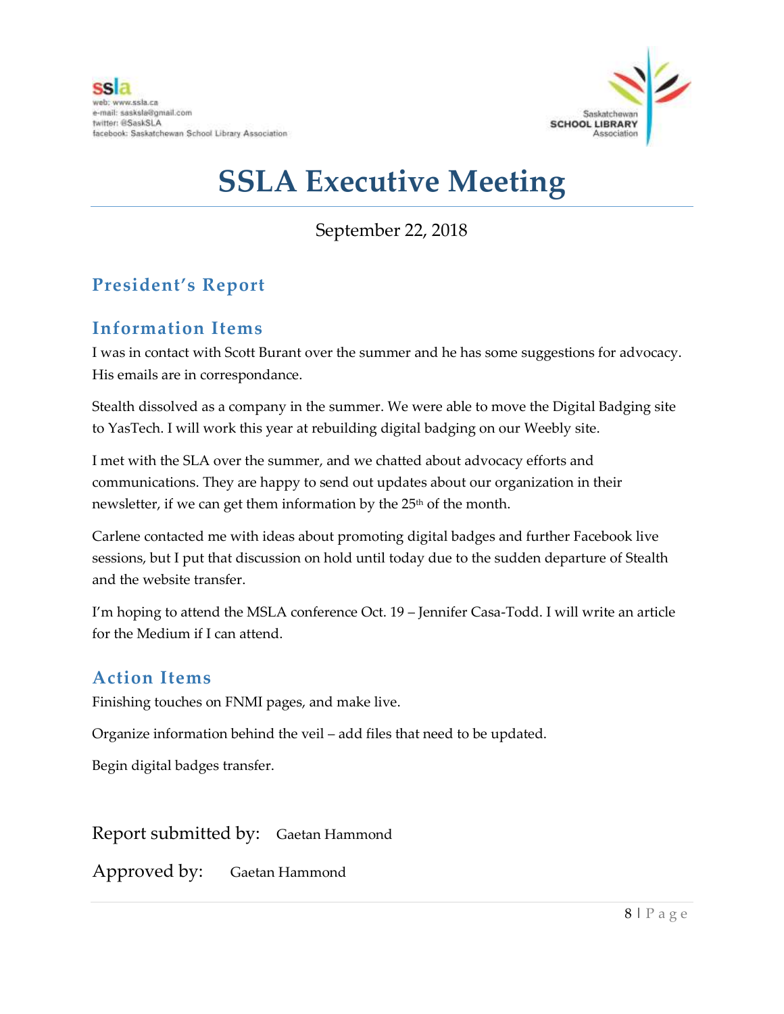

September 22, 2018

## **President's Report**

## **Information Items**

I was in contact with Scott Burant over the summer and he has some suggestions for advocacy. His emails are in correspondance.

Stealth dissolved as a company in the summer. We were able to move the Digital Badging site to YasTech. I will work this year at rebuilding digital badging on our Weebly site.

I met with the SLA over the summer, and we chatted about advocacy efforts and communications. They are happy to send out updates about our organization in their newsletter, if we can get them information by the 25<sup>th</sup> of the month.

Carlene contacted me with ideas about promoting digital badges and further Facebook live sessions, but I put that discussion on hold until today due to the sudden departure of Stealth and the website transfer.

I'm hoping to attend the MSLA conference Oct. 19 – Jennifer Casa-Todd. I will write an article for the Medium if I can attend.

## **Action Items**

Finishing touches on FNMI pages, and make live.

Organize information behind the veil – add files that need to be updated.

Begin digital badges transfer.

Report submitted by: Gaetan Hammond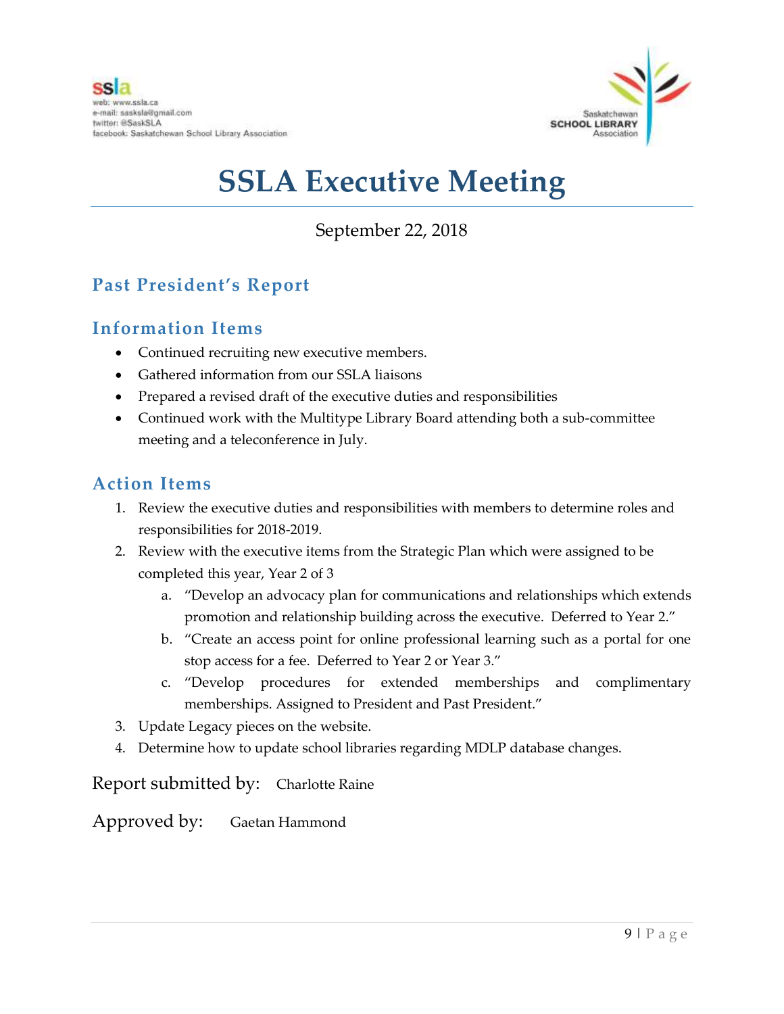

September 22, 2018

## **Past President's Report**

## **Information Items**

- Continued recruiting new executive members.
- Gathered information from our SSLA liaisons
- Prepared a revised draft of the executive duties and responsibilities
- Continued work with the Multitype Library Board attending both a sub-committee meeting and a teleconference in July.

### **Action Items**

- 1. Review the executive duties and responsibilities with members to determine roles and responsibilities for 2018-2019.
- 2. Review with the executive items from the Strategic Plan which were assigned to be completed this year, Year 2 of 3
	- a. "Develop an advocacy plan for communications and relationships which extends promotion and relationship building across the executive. Deferred to Year 2."
	- b. "Create an access point for online professional learning such as a portal for one stop access for a fee. Deferred to Year 2 or Year 3."
	- c. "Develop procedures for extended memberships and complimentary memberships. Assigned to President and Past President."
- 3. Update Legacy pieces on the website.
- 4. Determine how to update school libraries regarding MDLP database changes.

Report submitted by: Charlotte Raine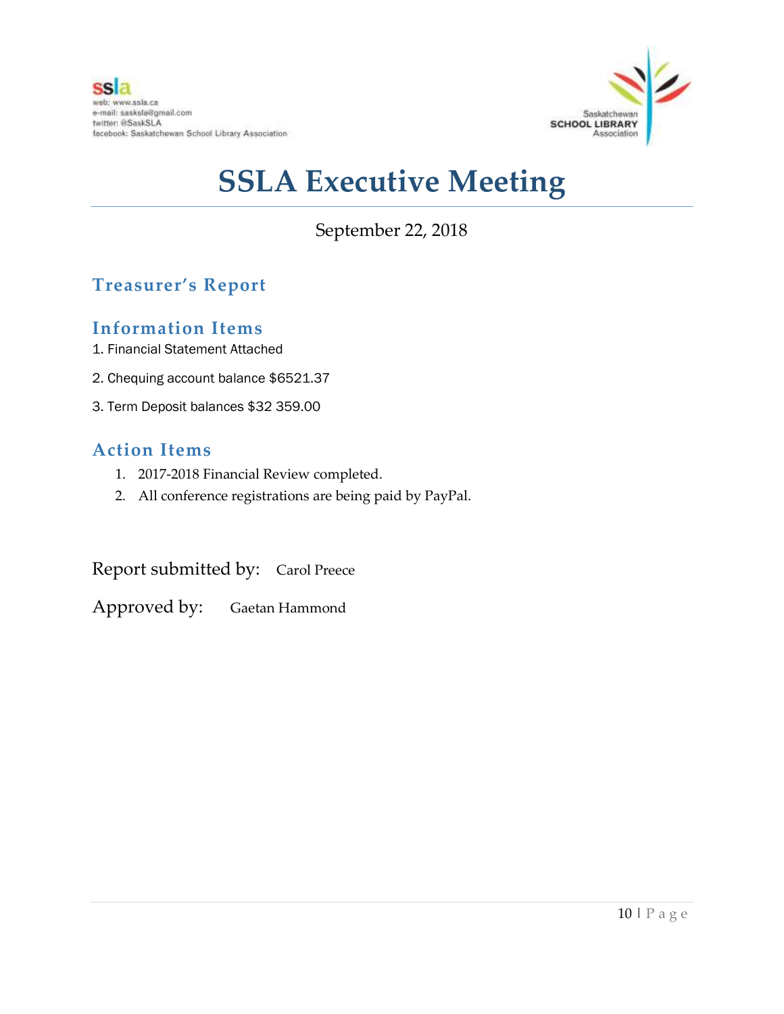

September 22, 2018

## **Treasurer's Report**

## **Information Items**

- 1. Financial Statement Attached
- 2. Chequing account balance \$6521.37
- 3. Term Deposit balances \$32 359.00

## **Action Items**

- 1. 2017-2018 Financial Review completed.
- 2. All conference registrations are being paid by PayPal.

Report submitted by: Carol Preece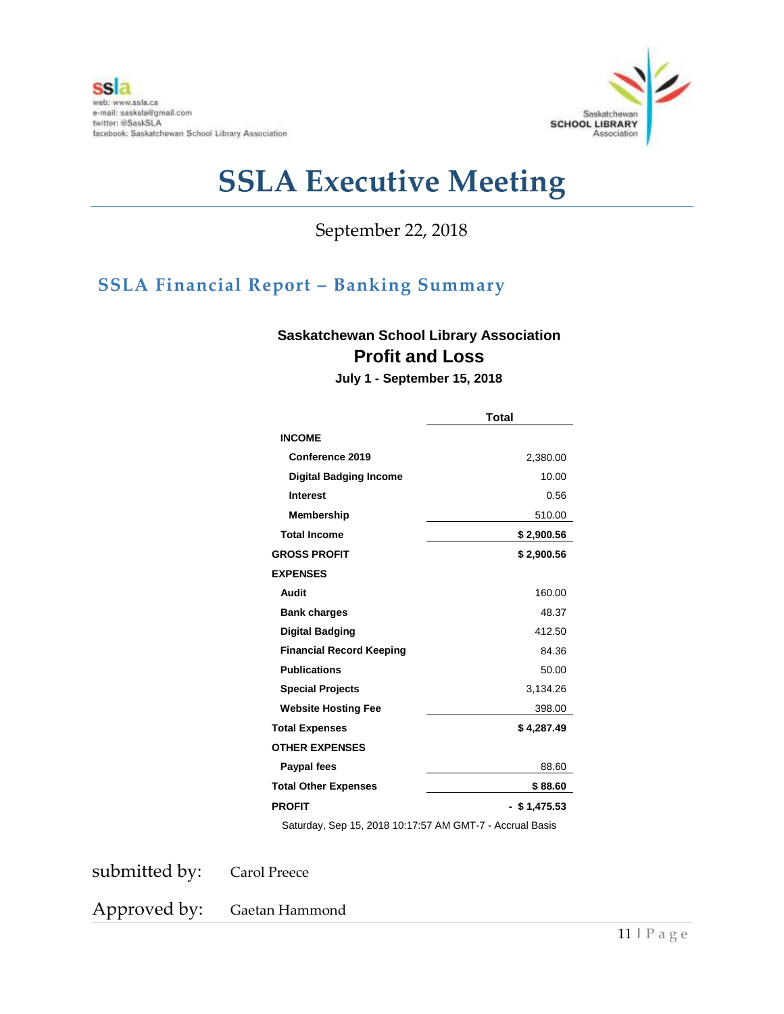

September 22, 2018

## **SSLA Financial Report – Banking Summary**

### **Saskatchewan School Library Association Profit and Loss**

**July 1 - September 15, 2018**

|                                 | <b>Total</b>   |  |  |
|---------------------------------|----------------|--|--|
| <b>INCOME</b>                   |                |  |  |
| <b>Conference 2019</b>          | 2,380.00       |  |  |
| <b>Digital Badging Income</b>   | 10.00          |  |  |
| <b>Interest</b>                 | 0.56           |  |  |
| <b>Membership</b>               | 510.00         |  |  |
| <b>Total Income</b>             | \$2,900.56     |  |  |
| <b>GROSS PROFIT</b>             | \$2,900.56     |  |  |
| <b>EXPENSES</b>                 |                |  |  |
| <b>Audit</b>                    | 160.00         |  |  |
| <b>Bank charges</b>             | 48.37          |  |  |
| <b>Digital Badging</b>          | 412.50         |  |  |
| <b>Financial Record Keeping</b> | 84.36          |  |  |
| <b>Publications</b>             | 50.00          |  |  |
| <b>Special Projects</b>         | 3,134.26       |  |  |
| <b>Website Hosting Fee</b>      | 398.00         |  |  |
| <b>Total Expenses</b>           | \$4,287.49     |  |  |
| <b>OTHER EXPENSES</b>           |                |  |  |
| Paypal fees                     | 88.60          |  |  |
| <b>Total Other Expenses</b>     | \$88.60        |  |  |
| <b>PROFIT</b>                   | $-$ \$1,475.53 |  |  |

Saturday, Sep 15, 2018 10:17:57 AM GMT-7 - Accrual Basis

submitted by: Carol Preece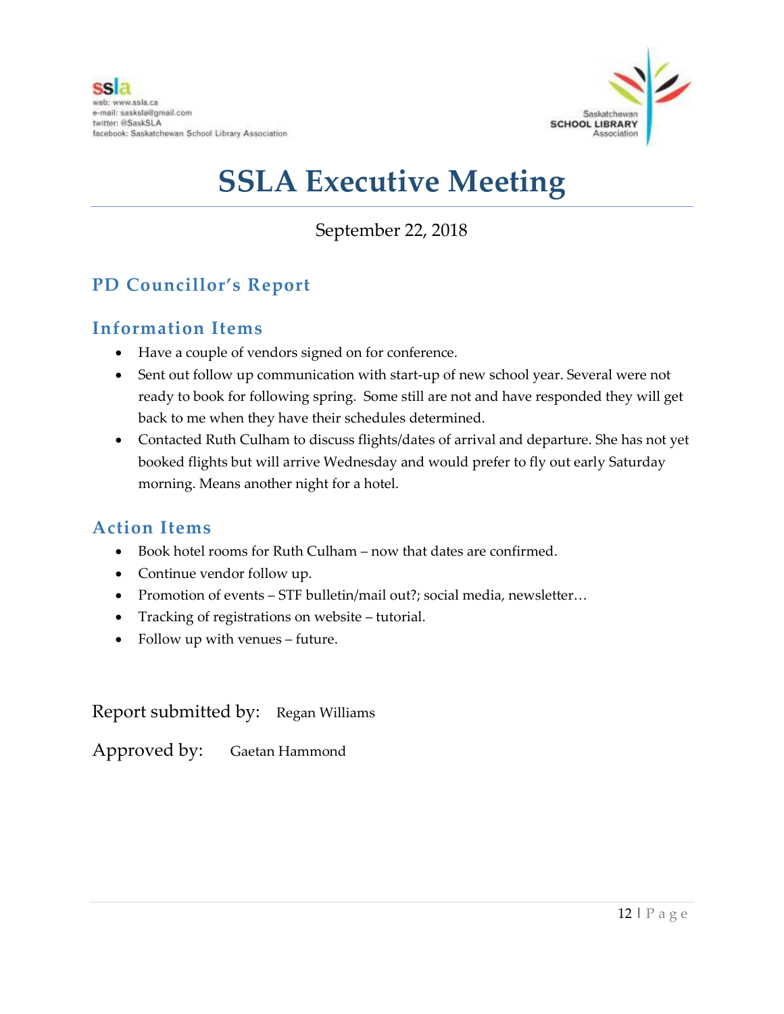

## September 22, 2018

## **PD Councillor's Report**

## **Information Items**

- Have a couple of vendors signed on for conference.
- Sent out follow up communication with start-up of new school year. Several were not ready to book for following spring. Some still are not and have responded they will get back to me when they have their schedules determined.
- Contacted Ruth Culham to discuss flights/dates of arrival and departure. She has not yet booked flights but will arrive Wednesday and would prefer to fly out early Saturday morning. Means another night for a hotel.

## **Action Items**

- Book hotel rooms for Ruth Culham now that dates are confirmed.
- Continue vendor follow up.
- Promotion of events STF bulletin/mail out?; social media, newsletter...
- Tracking of registrations on website tutorial.
- Follow up with venues future.

Report submitted by: Regan Williams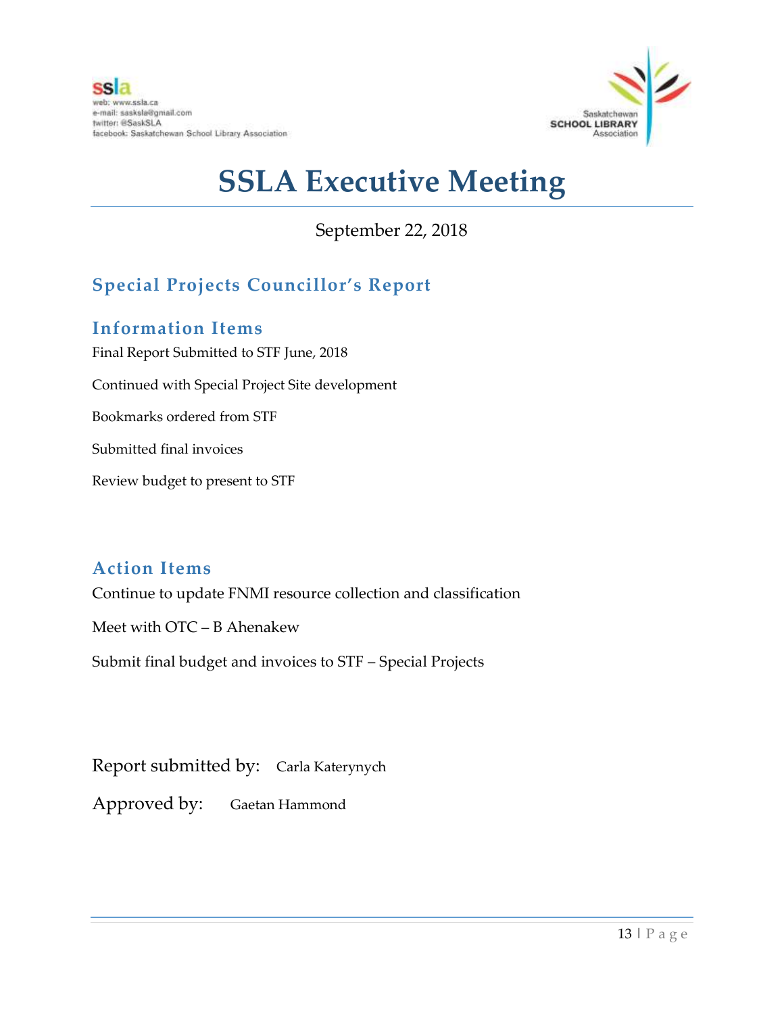

September 22, 2018

## **Special Projects Councillor's Report**

## **Information Items**

Final Report Submitted to STF June, 2018 Continued with Special Project Site development Bookmarks ordered from STF Submitted final invoices Review budget to present to STF

## **Action Items**

Continue to update FNMI resource collection and classification

Meet with OTC – B Ahenakew

Submit final budget and invoices to STF – Special Projects

Report submitted by: Carla Katerynych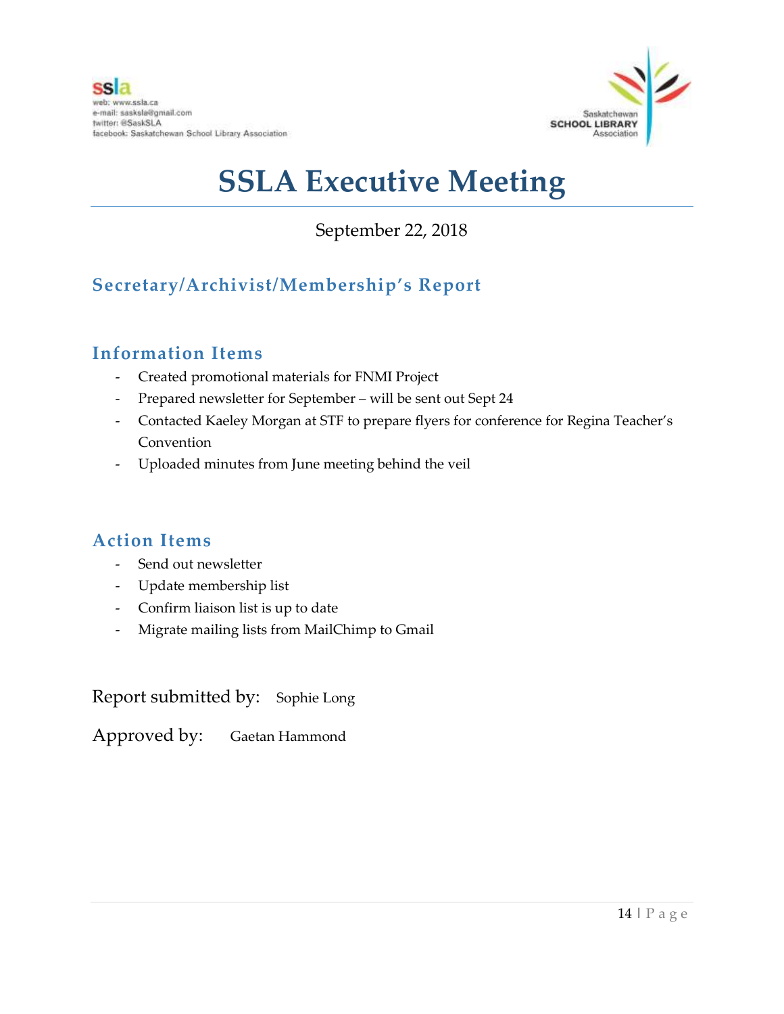

September 22, 2018

## **Secretary/Archivist/Membership's Report**

## **Information Items**

- Created promotional materials for FNMI Project
- Prepared newsletter for September will be sent out Sept 24
- Contacted Kaeley Morgan at STF to prepare flyers for conference for Regina Teacher's Convention
- Uploaded minutes from June meeting behind the veil

## **Action Items**

- Send out newsletter
- Update membership list
- Confirm liaison list is up to date
- Migrate mailing lists from MailChimp to Gmail

Report submitted by: Sophie Long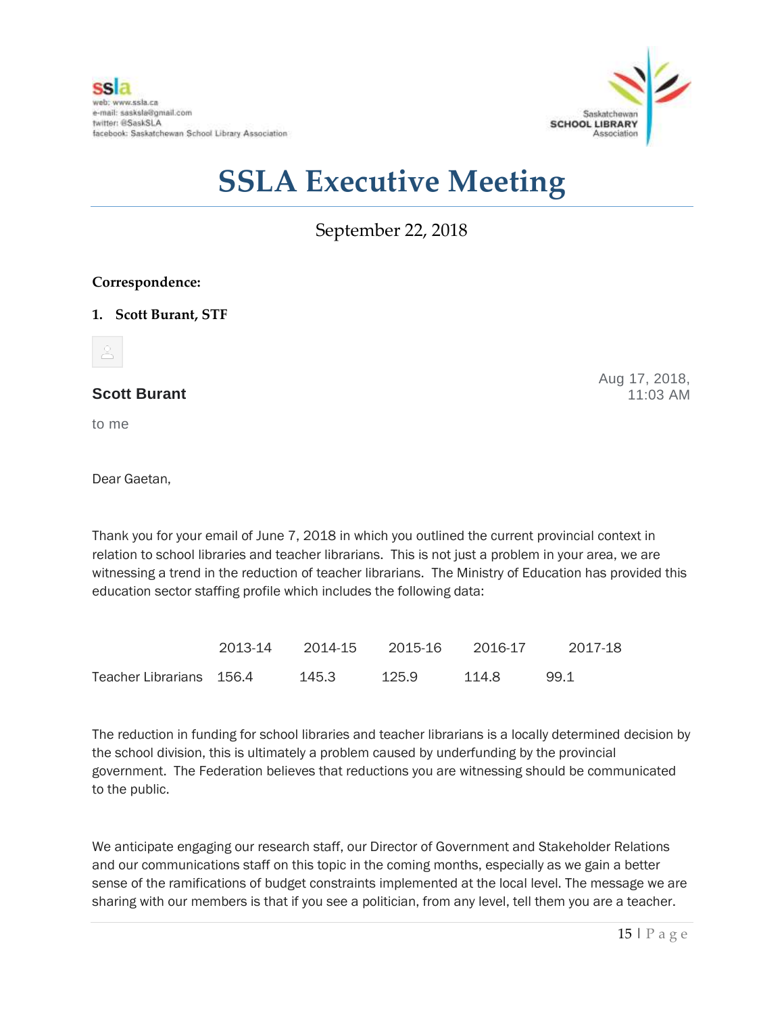

September 22, 2018

#### **Correspondence:**

#### **1. Scott Burant, STF**



#### **Scott Burant**

to me

Aug 17, 2018, 11:03 AM

Dear Gaetan,

Thank you for your email of June 7, 2018 in which you outlined the current provincial context in relation to school libraries and teacher librarians. This is not just a problem in your area, we are witnessing a trend in the reduction of teacher librarians. The Ministry of Education has provided this education sector staffing profile which includes the following data:

|                          | 2013-14 | 2014-15 | 2015-16 | 2016-17 | 2017-18 |
|--------------------------|---------|---------|---------|---------|---------|
| Teacher Librarians 156.4 |         | 145.3   | 125.9   | 114.8   | 99.1    |

The reduction in funding for school libraries and teacher librarians is a locally determined decision by the school division, this is ultimately a problem caused by underfunding by the provincial government. The Federation believes that reductions you are witnessing should be communicated to the public.

We anticipate engaging our research staff, our Director of Government and Stakeholder Relations and our communications staff on this topic in the coming months, especially as we gain a better sense of the ramifications of budget constraints implemented at the local level. The message we are sharing with our members is that if you see a politician, from any level, tell them you are a teacher.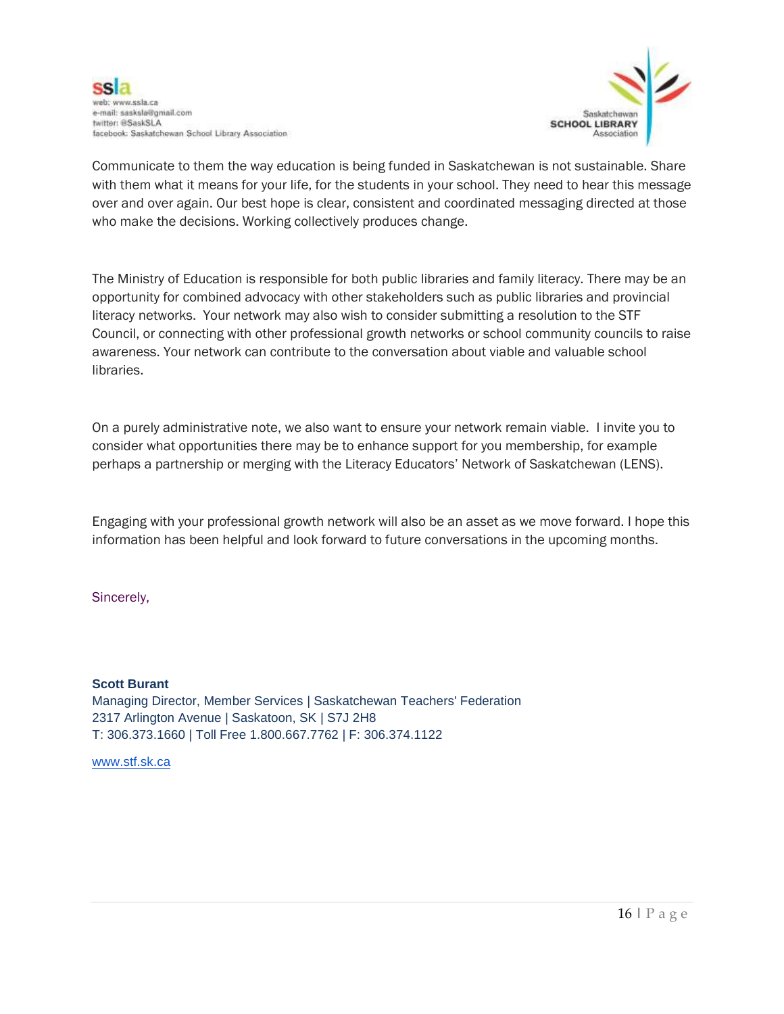



Communicate to them the way education is being funded in Saskatchewan is not sustainable. Share with them what it means for your life, for the students in your school. They need to hear this message over and over again. Our best hope is clear, consistent and coordinated messaging directed at those who make the decisions. Working collectively produces change.

The Ministry of Education is responsible for both public libraries and family literacy. There may be an opportunity for combined advocacy with other stakeholders such as public libraries and provincial literacy networks. Your network may also wish to consider submitting a resolution to the STF Council, or connecting with other professional growth networks or school community councils to raise awareness. Your network can contribute to the conversation about viable and valuable school libraries.

On a purely administrative note, we also want to ensure your network remain viable. I invite you to consider what opportunities there may be to enhance support for you membership, for example perhaps a partnership or merging with the Literacy Educators' Network of Saskatchewan (LENS).

Engaging with your professional growth network will also be an asset as we move forward. I hope this information has been helpful and look forward to future conversations in the upcoming months.

Sincerely,

**Scott Burant**

Managing Director, Member Services | Saskatchewan Teachers' Federation 2317 Arlington Avenue | Saskatoon, SK | S7J 2H8 T: 306.373.1660 | Toll Free 1.800.667.7762 | F: 306.374.1122

[www.stf.sk.ca](http://www.stf.sk.ca/)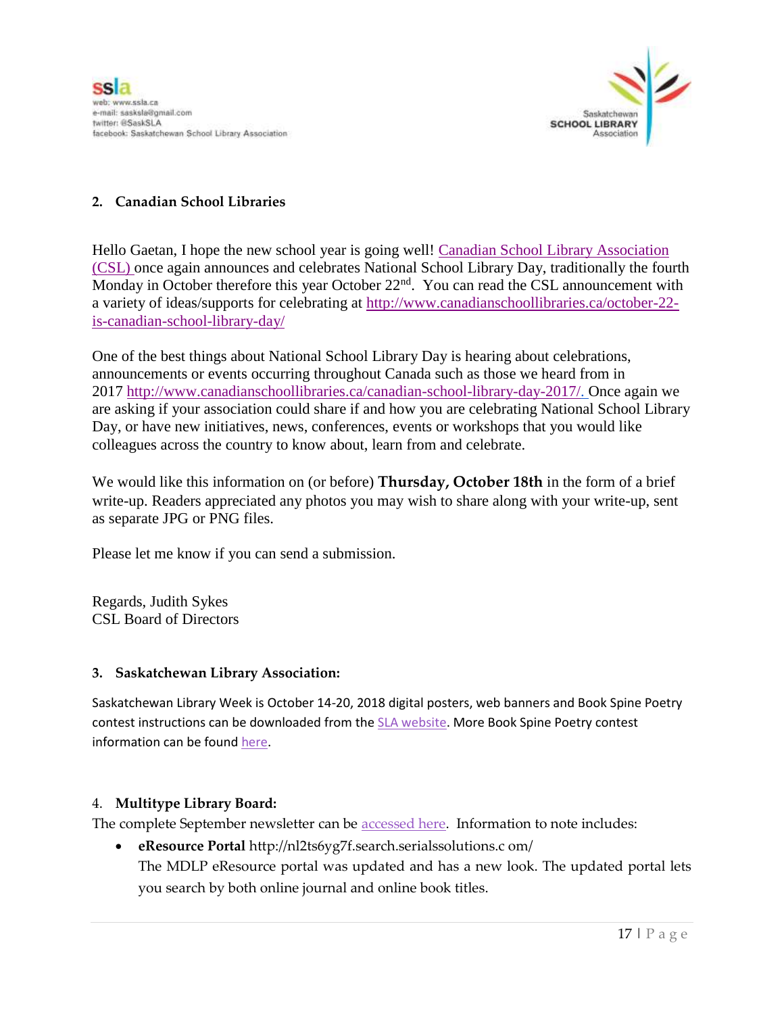

#### **2. Canadian School Libraries**

Hello Gaetan, I hope the new school year is going well! Canadian School Library Association [\(CSL\)](http://www.canadianschoollibraries.ca/) once again announces and celebrates National School Library Day, traditionally the fourth Monday in October therefore this year October 22<sup>nd</sup>. You can read the CSL announcement with a variety of ideas/supports for celebrating at [http://www.canadianschoollibraries.ca/october-22](http://www.canadianschoollibraries.ca/october-22-is-canadian-school-library-day/) [is-canadian-school-library-day/](http://www.canadianschoollibraries.ca/october-22-is-canadian-school-library-day/)

One of the best things about National School Library Day is hearing about celebrations, announcements or events occurring throughout Canada such as those we heard from in 2017 [http://www.canadianschoollibraries.ca/canadian-school-library-day-2017/.](http://www.canadianschoollibraries.ca/canadian-school-library-day-2017/) Once again we are asking if your association could share if and how you are celebrating National School Library Day, or have new initiatives, news, conferences, events or workshops that you would like colleagues across the country to know about, learn from and celebrate.

We would like this information on (or before) **Thursday, October 18th** in the form of a brief write-up. Readers appreciated any photos you may wish to share along with your write-up, sent as separate JPG or PNG files.

Please let me know if you can send a submission.

Regards, Judith Sykes CSL Board of Directors

#### **3. Saskatchewan Library Association:**

Saskatchewan Library Week is October 14-20, 2018 digital posters, web banners and Book Spine Poetry contest instructions can be downloaded from the [SLA website.](http://r20.rs6.net/tn.jsp?f=001AranQxhlB0tly8AvWTQBX-j0wxFUAS2uaoOWMmXqjPnxfVz834_-3huxdUv4F9AmeQRP3MeoLNvbBn0gj45fvovupk-W-_eMRWCK7EfWGqZ2Ly9bTtvcwqDoF0I85ySRNRgPabfl0CN0HerUUiYrk7ubs-e0YWmAKV7UPg2MLJIFOXzorNXPkQ==&c=emnBAh6lb9Om_upQ_y9zwongQL-kPBafNYqc9Qsz1cdClk2sOvEolQ==&ch=V1ojOrTupk-mN6xvyjufnSgNyNO0y9SjUjAHBd8KjMUMDkBx3_zLCg==) More Book Spine Poetry contest information can be foun[d here.](http://r20.rs6.net/tn.jsp?f=001AranQxhlB0tly8AvWTQBX-j0wxFUAS2uaoOWMmXqjPnxfVz834_-3lpsBbh1Oy-R2eDP5yWpC8yWbNqSYNd4UIRmAPSUyIsY1dJKEeelFV20ae667p3jxnollhEQIVS6G8Be47vGbU-B_WUrbTBkdUVSdErULuSo608NtiqrKD88SEYxFmbpBC_zalZnH3wl&c=emnBAh6lb9Om_upQ_y9zwongQL-kPBafNYqc9Qsz1cdClk2sOvEolQ==&ch=V1ojOrTupk-mN6xvyjufnSgNyNO0y9SjUjAHBd8KjMUMDkBx3_zLCg==)

#### 4. **Multitype Library Board:**

The complete September newsletter can be **accessed** here. Information to note includes:

 **eResource Portal** http://nl2ts6yg7f.search.serialssolutions.c om/ The MDLP eResource portal was updated and has a new look. The updated portal lets you search by both online journal and online book titles.